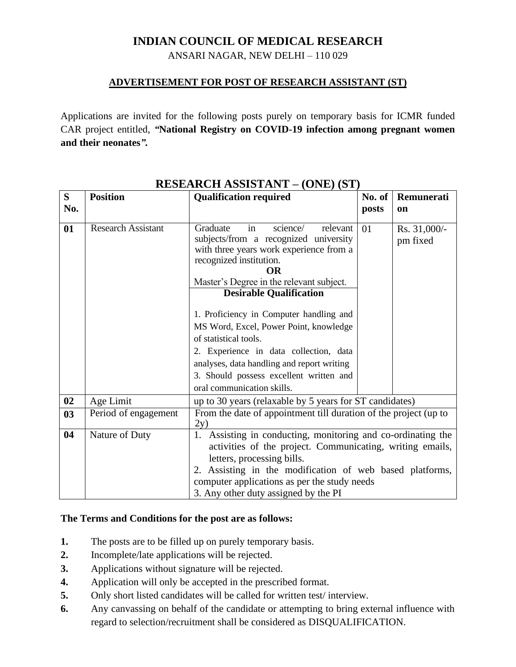## **INDIAN COUNCIL OF MEDICAL RESEARCH**

ANSARI NAGAR, NEW DELHI – 110 029

## **ADVERTISEMENT FOR POST OF RESEARCH ASSISTANT (ST)**

Applications are invited for the following posts purely on temporary basis for ICMR funded CAR project entitled, *"***National Registry on COVID-19 infection among pregnant women and their neonates***".*

| S.  | <b>Position</b>           | <b>EDETING INDUE ITENT</b><br>(911)<br><b>Qualification required</b>                                                                                                                                                                                                                                                                                                                                                                                                                                                     | No. of                                                  | Remunerati               |  |
|-----|---------------------------|--------------------------------------------------------------------------------------------------------------------------------------------------------------------------------------------------------------------------------------------------------------------------------------------------------------------------------------------------------------------------------------------------------------------------------------------------------------------------------------------------------------------------|---------------------------------------------------------|--------------------------|--|
|     |                           |                                                                                                                                                                                                                                                                                                                                                                                                                                                                                                                          |                                                         |                          |  |
| No. |                           |                                                                                                                                                                                                                                                                                                                                                                                                                                                                                                                          | posts                                                   | <b>on</b>                |  |
| 01  | <b>Research Assistant</b> | Graduate<br>science/<br>relevant<br>in<br>subjects/from a recognized university<br>with three years work experience from a<br>recognized institution.<br>OR<br>Master's Degree in the relevant subject.<br><b>Desirable Qualification</b><br>1. Proficiency in Computer handling and<br>MS Word, Excel, Power Point, knowledge<br>of statistical tools.<br>2. Experience in data collection, data<br>analyses, data handling and report writing<br>3. Should possess excellent written and<br>oral communication skills. | 01                                                      | Rs. 31,000/-<br>pm fixed |  |
| 02  | Age Limit                 |                                                                                                                                                                                                                                                                                                                                                                                                                                                                                                                          |                                                         |                          |  |
|     |                           |                                                                                                                                                                                                                                                                                                                                                                                                                                                                                                                          | up to 30 years (relaxable by 5 years for ST candidates) |                          |  |
| 03  | Period of engagement      | From the date of appointment till duration of the project (up to<br>2y)                                                                                                                                                                                                                                                                                                                                                                                                                                                  |                                                         |                          |  |
| 04  | Nature of Duty            | 1. Assisting in conducting, monitoring and co-ordinating the<br>activities of the project. Communicating, writing emails,<br>letters, processing bills.<br>2. Assisting in the modification of web based platforms,<br>computer applications as per the study needs<br>3. Any other duty assigned by the PI                                                                                                                                                                                                              |                                                         |                          |  |

## **RESEARCH ASSISTANT – (ONE) (ST)**

## **The Terms and Conditions for the post are as follows:**

- **1.** The posts are to be filled up on purely temporary basis.
- **2.** Incomplete/late applications will be rejected.
- **3.** Applications without signature will be rejected.
- **4.** Application will only be accepted in the prescribed format.
- **5.** Only short listed candidates will be called for written test/ interview.
- **6.** Any canvassing on behalf of the candidate or attempting to bring external influence with regard to selection/recruitment shall be considered as DISQUALIFICATION.